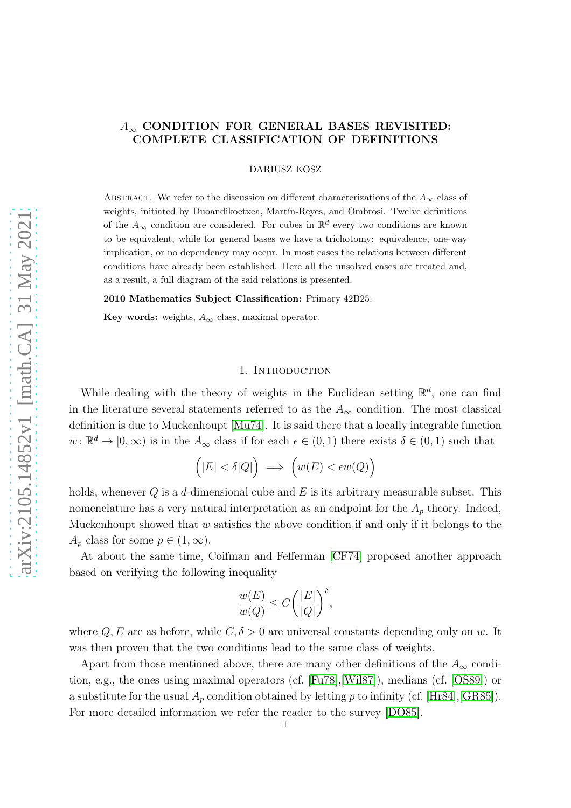# $A_{\infty}$  CONDITION FOR GENERAL BASES REVISITED: COMPLETE CLASSIFICATION OF DEFINITIONS

DARIUSZ KOSZ

ABSTRACT. We refer to the discussion on different characterizations of the  $A_{\infty}$  class of weights, initiated by Duoandikoetxea, Martín-Reyes, and Ombrosi. Twelve definitions of the  $A_{\infty}$  condition are considered. For cubes in  $\mathbb{R}^d$  every two conditions are known to be equivalent, while for general bases we have a trichotomy: equivalence, one-way implication, or no dependency may occur. In most cases the relations between different conditions have already been established. Here all the unsolved cases are treated and, as a result, a full diagram of the said relations is presented.

2010 Mathematics Subject Classification: Primary 42B25.

Key words: weights,  $A_{\infty}$  class, maximal operator.

#### 1. Introduction

While dealing with the theory of weights in the Euclidean setting  $\mathbb{R}^d$ , one can find in the literature several statements referred to as the  $A_{\infty}$  condition. The most classical definition is due to Muckenhoupt [\[Mu74\]](#page-8-0). It is said there that a locally integrable function  $w: \mathbb{R}^d \to [0, \infty)$  is in the  $A_\infty$  class if for each  $\epsilon \in (0, 1)$  there exists  $\delta \in (0, 1)$  such that

$$
(|E| < \delta |Q|) \implies \Big(w(E) < \epsilon w(Q)\Big)
$$

holds, whenever  $Q$  is a d-dimensional cube and  $E$  is its arbitrary measurable subset. This nomenclature has a very natural interpretation as an endpoint for the  $A_n$  theory. Indeed, Muckenhoupt showed that  $w$  satisfies the above condition if and only if it belongs to the  $A_p$  class for some  $p \in (1,\infty)$ .

At about the same time, Coifman and Fefferman [\[CF74\]](#page-8-1) proposed another approach based on verifying the following inequality

$$
\frac{w(E)}{w(Q)} \le C \bigg(\frac{|E|}{|Q|}\bigg)^{\delta},
$$

where Q, E are as before, while  $C, \delta > 0$  are universal constants depending only on w. It was then proven that the two conditions lead to the same class of weights.

Apart from those mentioned above, there are many other definitions of the  $A_{\infty}$  condition, e.g., the ones using maximal operators (cf. [\[Fu78\]](#page-8-2),[\[Wil87\]](#page-9-0)), medians (cf. [\[OS89\]](#page-9-1)) or a substitute for the usual  $A_p$  condition obtained by letting p to infinity (cf. [\[Hr84\]](#page-8-3), [\[GR85\]](#page-8-4)). For more detailed information we refer the reader to the survey [\[DO85\]](#page-8-5).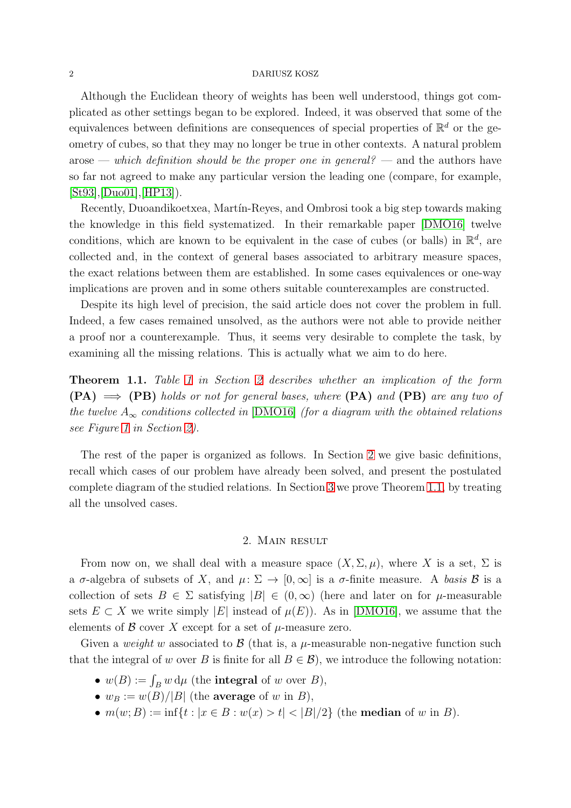#### 2 DARIUSZ KOSZ

Although the Euclidean theory of weights has been well understood, things got complicated as other settings began to be explored. Indeed, it was observed that some of the equivalences between definitions are consequences of special properties of  $\mathbb{R}^d$  or the geometry of cubes, so that they may no longer be true in other contexts. A natural problem arose — which definition should be the proper one in general? — and the authors have so far not agreed to make any particular version the leading one (compare, for example,  $[St93], [Du001], [HP13]).$  $[St93], [Du001], [HP13]).$  $[St93], [Du001], [HP13]).$  $[St93], [Du001], [HP13]).$ 

Recently, Duoandikoetxea, Mart´ın-Reyes, and Ombrosi took a big step towards making the knowledge in this field systematized. In their remarkable paper [\[DMO16\]](#page-8-9) twelve conditions, which are known to be equivalent in the case of cubes (or balls) in  $\mathbb{R}^d$ , are collected and, in the context of general bases associated to arbitrary measure spaces, the exact relations between them are established. In some cases equivalences or one-way implications are proven and in some others suitable counterexamples are constructed.

Despite its high level of precision, the said article does not cover the problem in full. Indeed, a few cases remained unsolved, as the authors were not able to provide neither a proof nor a counterexample. Thus, it seems very desirable to complete the task, by examining all the missing relations. This is actually what we aim to do here.

<span id="page-1-1"></span>**Theorem [1](#page-4-0).1.** Table 1 in Section [2](#page-1-0) describes whether an implication of the form  $(PA) \implies (PB)$  holds or not for general bases, where  $(PA)$  and  $(PB)$  are any two of the twelve  $A_{\infty}$  conditions collected in [\[DMO16\]](#page-8-9) (for a diagram with the obtained relations see Figure [1](#page-5-0) in Section [2\)](#page-1-0).

The rest of the paper is organized as follows. In Section [2](#page-1-0) we give basic definitions, recall which cases of our problem have already been solved, and present the postulated complete diagram of the studied relations. In Section [3](#page-5-1) we prove Theorem [1.1,](#page-1-1) by treating all the unsolved cases.

### 2. Main result

<span id="page-1-0"></span>From now on, we shall deal with a measure space  $(X, \Sigma, \mu)$ , where X is a set,  $\Sigma$  is a  $\sigma$ -algebra of subsets of X, and  $\mu: \Sigma \to [0, \infty]$  is a  $\sigma$ -finite measure. A basis B is a collection of sets  $B \in \Sigma$  satisfying  $|B| \in (0,\infty)$  (here and later on for  $\mu$ -measurable sets  $E \subset X$  we write simply  $|E|$  instead of  $\mu(E)$ ). As in [\[DMO16\]](#page-8-9), we assume that the elements of  $\beta$  cover X except for a set of  $\mu$ -measure zero.

Given a weight w associated to  $\mathcal{B}$  (that is, a  $\mu$ -measurable non-negative function such that the integral of w over B is finite for all  $B \in \mathcal{B}$ ), we introduce the following notation:

- $w(B) := \int_B w \, d\mu$  (the **integral** of w over B),
- $w_B := w(B)/|B|$  (the average of w in B),
- $m(w; B) := \inf\{t : |x \in B : w(x) > t| < |B|/2\}$  (the **median** of w in B).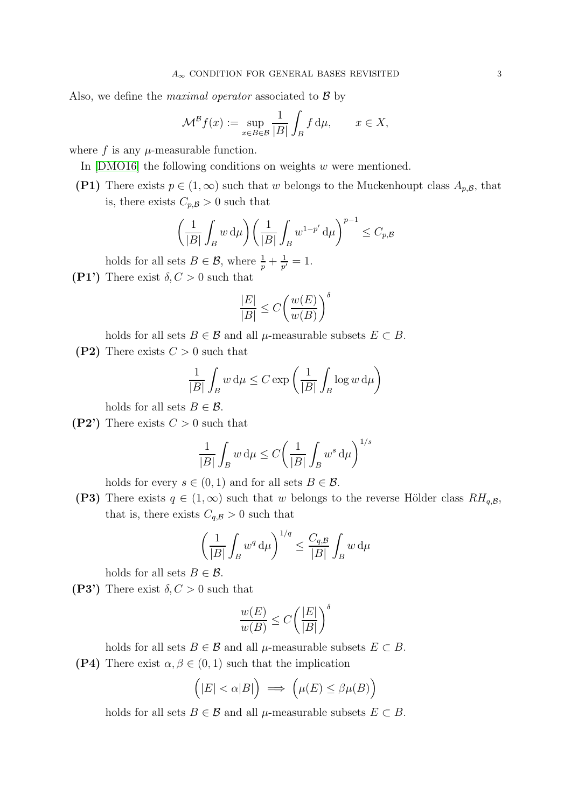Also, we define the *maximal operator* associated to  $\beta$  by

$$
\mathcal{M}^{\mathcal{B}}f(x) := \sup_{x \in B \in \mathcal{B}} \frac{1}{|B|} \int_{B} f \, \mathrm{d}\mu, \qquad x \in X,
$$

where  $f$  is any  $\mu$ -measurable function.

<span id="page-2-0"></span>In [\[DMO16\]](#page-8-9) the following conditions on weights w were mentioned.

(P1) There exists  $p \in (1,\infty)$  such that w belongs to the Muckenhoupt class  $A_{p,\mathcal{B}}$ , that is, there exists  $C_{p,\mathcal{B}} > 0$  such that

$$
\left(\frac{1}{|B|}\int_B w \, \mathrm{d}\mu\right) \left(\frac{1}{|B|}\int_B w^{1-p'} \, \mathrm{d}\mu\right)^{p-1} \leq C_{p,\mathcal{B}}
$$

<span id="page-2-1"></span>holds for all sets  $B \in \mathcal{B}$ , where  $\frac{1}{p} + \frac{1}{p'}$  $\frac{1}{p'}=1.$ 

(P1') There exist  $\delta, C > 0$  such that

$$
\frac{|E|}{|B|} \le C \left(\frac{w(E)}{w(B)}\right)^{\delta}
$$

<span id="page-2-2"></span>holds for all sets  $B \in \mathcal{B}$  and all  $\mu$ -measurable subsets  $E \subset B$ .

(P2) There exists  $C > 0$  such that

$$
\frac{1}{|B|} \int_B w \, \mathrm{d}\mu \le C \exp\left(\frac{1}{|B|} \int_B \log w \, \mathrm{d}\mu\right)
$$

<span id="page-2-3"></span>holds for all sets  $B \in \mathcal{B}$ .

(P2') There exists  $C > 0$  such that

$$
\frac{1}{|B|} \int_B w \, \mathrm{d}\mu \le C \left( \frac{1}{|B|} \int_B w^s \, \mathrm{d}\mu \right)^{1/s}
$$

<span id="page-2-4"></span>holds for every  $s \in (0,1)$  and for all sets  $B \in \mathcal{B}$ .

(P3) There exists  $q \in (1,\infty)$  such that w belongs to the reverse Hölder class  $RH_{q,\mathcal{B}},$ that is, there exists  $C_{q,\mathcal{B}} > 0$  such that

$$
\left(\frac{1}{|B|}\int_B w^q \, \mathrm{d}\mu\right)^{1/q} \le \frac{C_{q,\mathcal{B}}}{|B|}\int_B w \, \mathrm{d}\mu
$$

<span id="page-2-5"></span>holds for all sets  $B \in \mathcal{B}$ .

(P3') There exist  $\delta, C > 0$  such that

$$
\frac{w(E)}{w(B)} \le C \left(\frac{|E|}{|B|}\right)^{\delta}
$$

holds for all sets  $B \in \mathcal{B}$  and all  $\mu$ -measurable subsets  $E \subset B$ . (P4) There exist  $\alpha, \beta \in (0,1)$  such that the implication

<span id="page-2-6"></span>
$$
(|E| < \alpha |B|) \implies \left( \mu(E) < \beta \mu(B) \right)
$$

$$
(|E| < \alpha|B|) \implies \left(\mu(E) \le \beta \mu(B)\right)
$$

holds for all sets  $B \in \mathcal{B}$  and all  $\mu$ -measurable subsets  $E \subset B$ .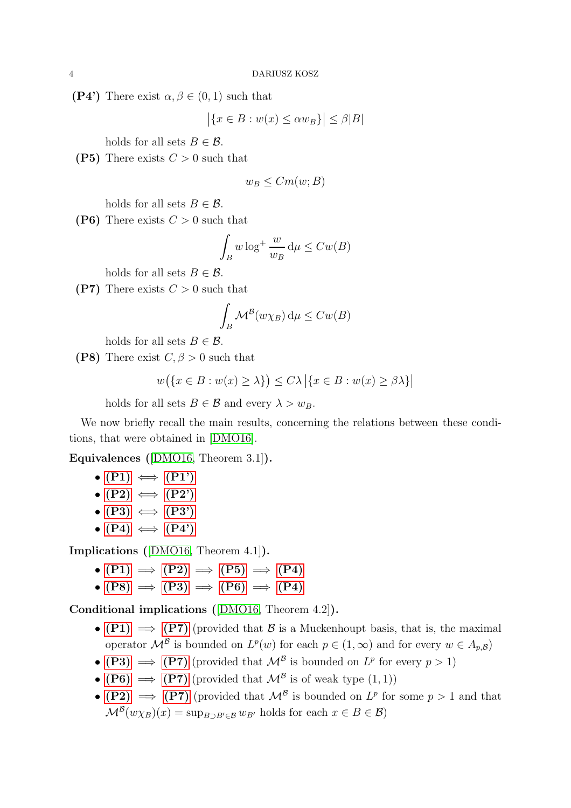<span id="page-3-0"></span>(P4') There exist  $\alpha, \beta \in (0,1)$  such that

$$
\left| \{ x \in B : w(x) \le \alpha w_B \} \right| \le \beta |B|
$$

<span id="page-3-1"></span>holds for all sets  $B \in \mathcal{B}$ .

(P5) There exists  $C > 0$  such that

$$
w_B \leq Cm(w; B)
$$

<span id="page-3-3"></span>holds for all sets  $B \in \mathcal{B}$ .

(P6) There exists  $C > 0$  such that

$$
\int_B w \log^+ \frac{w}{w_B} \, \mathrm{d}\mu \le Cw(B)
$$

<span id="page-3-4"></span>holds for all sets  $B \in \mathcal{B}$ .

(P7) There exists  $C > 0$  such that

$$
\int_B \mathcal{M}^{\mathcal{B}}(w\chi_B) \, \mathrm{d}\mu \leq Cw(B)
$$

<span id="page-3-2"></span>holds for all sets  $B \in \mathcal{B}$ .

(P8) There exist  $C, \beta > 0$  such that

$$
w(\lbrace x \in B : w(x) \ge \lambda \rbrace) \le C\lambda |\lbrace x \in B : w(x) \ge \beta\lambda \rbrace|
$$

holds for all sets  $B \in \mathcal{B}$  and every  $\lambda > w_B$ .

We now briefly recall the main results, concerning the relations between these conditions, that were obtained in [\[DMO16\]](#page-8-9).

Equivalences ([\[DMO16,](#page-8-9) Theorem 3.1]).

- $\bullet$  [\(P1\)](#page-2-0)  $\iff$  [\(P1'\)](#page-2-1)
- $\bullet$  [\(P2\)](#page-2-2)  $\iff$  [\(P2'\)](#page-2-3)
- $\bullet$  [\(P3\)](#page-2-4)  $\iff$  [\(P3'\)](#page-2-5)
- $\bullet$  [\(P4\)](#page-2-6)  $\iff$  [\(P4'\)](#page-3-0)

Implications ([\[DMO16,](#page-8-9) Theorem 4.1]).

- $(P1) \implies (P2) \implies (P5) \implies (P4)$  $(P1) \implies (P2) \implies (P5) \implies (P4)$  $(P1) \implies (P2) \implies (P5) \implies (P4)$  $(P1) \implies (P2) \implies (P5) \implies (P4)$  $(P1) \implies (P2) \implies (P5) \implies (P4)$  $(P1) \implies (P2) \implies (P5) \implies (P4)$  $(P1) \implies (P2) \implies (P5) \implies (P4)$
- $(P8) \implies (P3) \implies (P6) \implies (P4)$  $(P8) \implies (P3) \implies (P6) \implies (P4)$  $(P8) \implies (P3) \implies (P6) \implies (P4)$  $(P8) \implies (P3) \implies (P6) \implies (P4)$  $(P8) \implies (P3) \implies (P6) \implies (P4)$  $(P8) \implies (P3) \implies (P6) \implies (P4)$  $(P8) \implies (P3) \implies (P6) \implies (P4)$

Conditional implications ([\[DMO16,](#page-8-9) Theorem 4.2]).

- [\(P1\)](#page-2-0)  $\implies$  [\(P7\)](#page-3-4) (provided that B is a Muckenhoupt basis, that is, the maximal operator  $\mathcal{M}^{\mathcal{B}}$  is bounded on  $L^p(w)$  for each  $p \in (1,\infty)$  and for every  $w \in A_{p,\mathcal{B}}$
- [\(P3\)](#page-2-4)  $\implies$  [\(P7\)](#page-3-4) (provided that  $\mathcal{M}^{\mathcal{B}}$  is bounded on  $L^p$  for every  $p > 1$ )
- [\(P6\)](#page-3-3)  $\implies$  [\(P7\)](#page-3-4) (provided that  $\mathcal{M}^{\mathcal{B}}$  is of weak type  $(1,1)$ )
- [\(P2\)](#page-2-2)  $\implies$  [\(P7\)](#page-3-4) (provided that  $\mathcal{M}^{\mathcal{B}}$  is bounded on  $L^p$  for some  $p > 1$  and that  $\mathcal{M}^{\mathcal{B}}(w\chi_B)(x) = \sup_{B \supset B' \in \mathcal{B}} w_{B'}$  holds for each  $x \in B \in \mathcal{B}$ )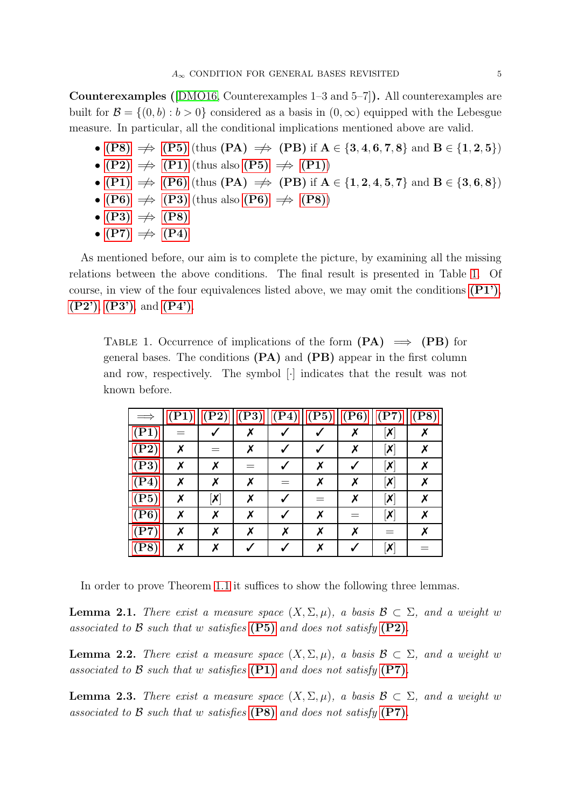Counterexamples ([\[DMO16,](#page-8-9) Counterexamples 1–3 and 5–7]). All counterexamples are built for  $\mathcal{B} = \{(0, b) : b > 0\}$  considered as a basis in  $(0, \infty)$  equipped with the Lebesgue measure. In particular, all the conditional implications mentioned above are valid.

- [\(P8\)](#page-3-2)  $\Rightarrow$  [\(P5\)](#page-3-1) (thus (PA)  $\Rightarrow$  (PB) if  $A \in \{3, 4, 6, 7, 8\}$  and  $B \in \{1, 2, 5\}$ )
- [\(P2\)](#page-2-2)  $\Rightarrow$  [\(P1\)](#page-2-0) (thus also [\(P5\)](#page-3-1)  $\Rightarrow$  (P1))
- [\(P1\)](#page-2-0)  $\Rightarrow$  [\(P6\)](#page-3-3) (thus (PA)  $\Rightarrow$  (PB) if  $A \in \{1, 2, 4, 5, 7\}$  and  $B \in \{3, 6, 8\}$ )
- [\(P6\)](#page-3-3)  $\Rightarrow$  [\(P3\)](#page-2-4) (thus also (P6)  $\Rightarrow$  [\(P8\)](#page-3-2))
- $(P3) \implies (P8)$  $(P3) \implies (P8)$  $(P3) \implies (P8)$
- [\(P7\)](#page-3-4)  $\Rightarrow$  [\(P4\)](#page-2-6)

As mentioned before, our aim is to complete the picture, by examining all the missing relations between the above conditions. The final result is presented in Table [1.](#page-4-0) Of course, in view of the four equivalences listed above, we may omit the conditions  $(P1')$ ,  $(P2'), (P3'),$  $(P2'), (P3'),$  $(P2'), (P3'),$  $(P2'), (P3'),$  and  $(P4').$  $(P4').$ 

<span id="page-4-0"></span>TABLE 1. Occurrence of implications of the form  $(PA) \implies (PB)$  for general bases. The conditions (PA) and (PB) appear in the first column and row, respectively. The symbol [·] indicates that the result was not known before.

| $\Longrightarrow$ | $(\rm{P1})$      | $(\mathrm{P2})$                         | (P3) | (P4) | (P5) | (P6) | $(\mathbf{P}7)$                         | $(\mathrm{P}8)$ |
|-------------------|------------------|-----------------------------------------|------|------|------|------|-----------------------------------------|-----------------|
| (P1)              |                  |                                         |      |      |      | Х    | $\left  \boldsymbol{\mathsf{X}}\right $ | х               |
| (P2)              | X                |                                         | X    |      |      | X    | $\left[\mathsf{x}\right]$               | Х               |
| (P3)              | $\boldsymbol{x}$ | $\boldsymbol{x}$                        |      |      | Х    |      | $\left  \boldsymbol{\mathsf{X}}\right $ | X               |
| (P4)              | X                | X                                       | Х    |      | Х    | х    | $\left[\mathsf{x}\right]$               | х               |
| (P5)              | X                | $\left  \boldsymbol{\mathsf{X}}\right $ | X    |      | $=$  | X    | $\left  \boldsymbol{\mathsf{X}}\right $ |                 |
| (P6)              | Х                | X                                       | x    |      | Х    |      | $\left[\mathsf{x}\right]$               |                 |
| (P7)              | X                | Х                                       | х    | x    | х    | х    | $=$                                     | X               |
| $(\mathrm{P}8)$   | x                |                                         |      |      |      |      | $\left[\mathsf{x}\right]$               |                 |

In order to prove Theorem [1.1](#page-1-1) it suffices to show the following three lemmas.

<span id="page-4-1"></span>**Lemma 2.1.** There exist a measure space  $(X, \Sigma, \mu)$ , a basis  $\mathcal{B} \subset \Sigma$ , and a weight w associated to B such that w satisfies  $(P5)$  and does not satisfy  $(P2)$ .

<span id="page-4-3"></span>**Lemma 2.2.** There exist a measure space  $(X, \Sigma, \mu)$ , a basis  $\mathcal{B} \subset \Sigma$ , and a weight w associated to B such that w satisfies  $(P1)$  and does not satisfy  $(P7)$ .

<span id="page-4-2"></span>**Lemma 2.3.** There exist a measure space  $(X, \Sigma, \mu)$ , a basis  $\mathcal{B} \subset \Sigma$ , and a weight w associated to B such that w satisfies  $(P8)$  and does not satisfy  $(P7)$ .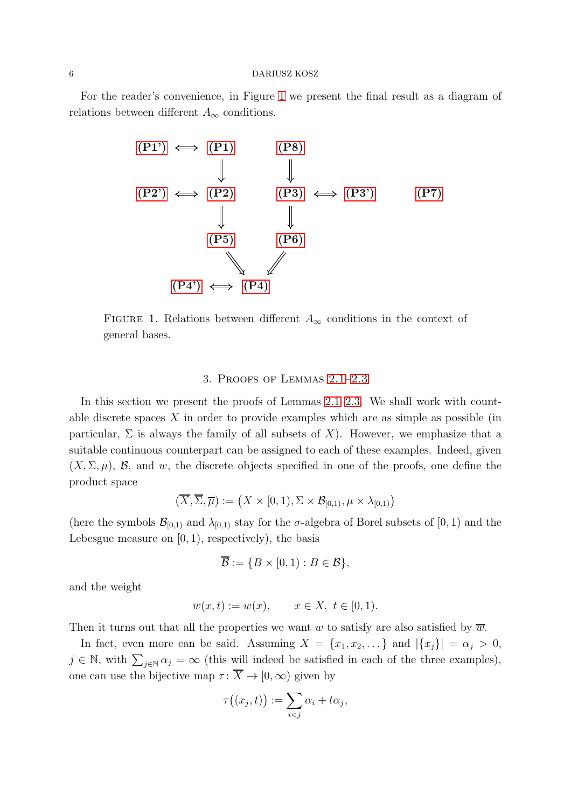#### 6 DARIUSZ KOSZ

For the reader's convenience, in Figure [1](#page-5-0) we present the final result as a diagram of relations between different  $A_{\infty}$  conditions.



<span id="page-5-0"></span>FIGURE 1. Relations between different  $A_{\infty}$  conditions in the context of general bases.

#### 3. Proofs of Lemmas [2.1–](#page-4-1)[2.3](#page-4-2)

<span id="page-5-1"></span>In this section we present the proofs of Lemmas [2.1](#page-4-1)[–2.3.](#page-4-2) We shall work with countable discrete spaces  $X$  in order to provide examples which are as simple as possible (in particular,  $\Sigma$  is always the family of all subsets of X). However, we emphasize that a suitable continuous counterpart can be assigned to each of these examples. Indeed, given  $(X, \Sigma, \mu)$ , B, and w, the discrete objects specified in one of the proofs, one define the product space

$$
(\overline{X}, \overline{\Sigma}, \overline{\mu}) := \big(X \times [0, 1), \Sigma \times \mathcal{B}_{[0, 1)}, \mu \times \lambda_{[0, 1)}\big)
$$

(here the symbols  $\mathcal{B}_{[0,1)}$  and  $\lambda_{[0,1)}$  stay for the  $\sigma$ -algebra of Borel subsets of  $[0,1)$  and the Lebesgue measure on  $[0, 1)$ , respectively), the basis

$$
\overline{\mathcal{B}} := \{ B \times [0,1) : B \in \mathcal{B} \},
$$

and the weight

$$
\overline{w}(x,t) := w(x), \qquad x \in X, \ t \in [0,1).
$$

Then it turns out that all the properties we want w to satisfy are also satisfied by  $\overline{w}$ .

In fact, even more can be said. Assuming  $X = \{x_1, x_2, \dots\}$  and  $|\{x_j\}| = \alpha_j > 0$ ,  $j \in \mathbb{N}$ , with  $\sum_{j \in \mathbb{N}} \alpha_j = \infty$  (this will indeed be satisfied in each of the three examples), one can use the bijective map  $\tau : \overline{X} \to [0, \infty)$  given by

$$
\tau\big((x_j,t)\big):=\sum_{i
$$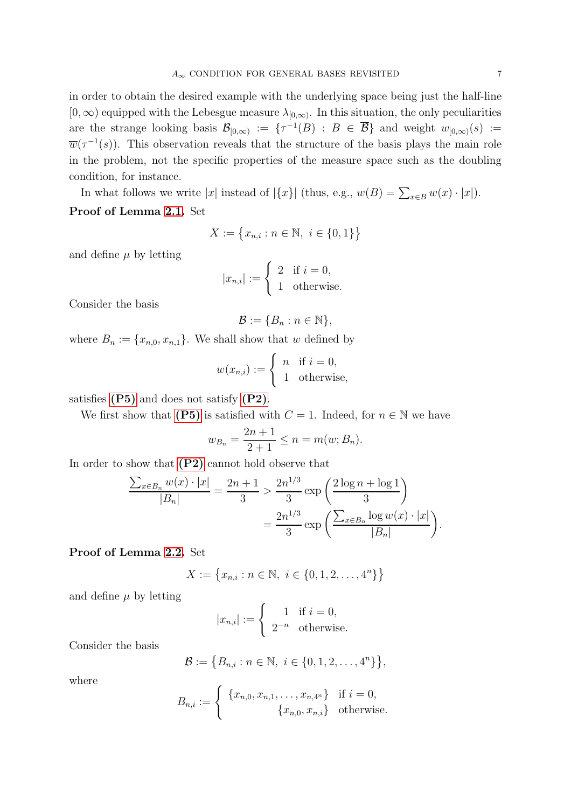in order to obtain the desired example with the underlying space being just the half-line  $[0, \infty)$  equipped with the Lebesgue measure  $\lambda_{[0,\infty)}$ . In this situation, the only peculiarities are the strange looking basis  $\mathcal{B}_{[0,\infty)} := \{ \tau^{-1}(B) : B \in \overline{\mathcal{B}} \}$  and weight  $w_{[0,\infty)}(s) :=$  $\overline{w}(\tau^{-1}(s))$ . This observation reveals that the structure of the basis plays the main role in the problem, not the specific properties of the measure space such as the doubling condition, for instance.

In what follows we write |x| instead of  $|\{x\}|$  (thus, e.g.,  $w(B) = \sum_{x \in B} w(x) \cdot |x|$ ).

## Proof of Lemma [2.1.](#page-4-1) Set

$$
X := \{ x_{n,i} : n \in \mathbb{N}, i \in \{0, 1\} \}
$$

and define  $\mu$  by letting

$$
|x_{n,i}| := \begin{cases} 2 & \text{if } i = 0, \\ 1 & \text{otherwise.} \end{cases}
$$

Consider the basis

$$
\mathcal{B} := \{B_n : n \in \mathbb{N}\},\
$$

where  $B_n := \{x_{n,0}, x_{n,1}\}.$  We shall show that w defined by

$$
w(x_{n,i}) := \begin{cases} n & \text{if } i = 0, \\ 1 & \text{otherwise,} \end{cases}
$$

satisfies [\(P5\)](#page-3-1) and does not satisfy [\(P2\)](#page-2-2).

We first show that [\(P5\)](#page-3-1) is satisfied with  $C = 1$ . Indeed, for  $n \in \mathbb{N}$  we have

$$
w_{B_n} = \frac{2n+1}{2+1} \le n = m(w; B_n).
$$

In order to show that  $(P2)$  cannot hold observe that

$$
\frac{\sum_{x \in B_n} w(x) \cdot |x|}{|B_n|} = \frac{2n+1}{3} > \frac{2n^{1/3}}{3} \exp\left(\frac{2\log n + \log 1}{3}\right)
$$

$$
= \frac{2n^{1/3}}{3} \exp\left(\frac{\sum_{x \in B_n} \log w(x) \cdot |x|}{|B_n|}\right).
$$

### Proof of Lemma [2.2.](#page-4-3) Set

$$
X := \{x_{n,i} : n \in \mathbb{N}, i \in \{0, 1, 2, \dots, 4^n\}\}
$$

and define  $\mu$  by letting

$$
|x_{n,i}| := \begin{cases} 1 & \text{if } i = 0, \\ 2^{-n} & \text{otherwise.} \end{cases}
$$

Consider the basis

$$
\mathcal{B} := \{B_{n,i} : n \in \mathbb{N}, i \in \{0, 1, 2, \dots, 4^n\}\},\
$$

where

$$
B_{n,i} := \begin{cases} \{x_{n,0}, x_{n,1}, \dots, x_{n,4^n}\} & \text{if } i = 0, \\ \{x_{n,0}, x_{n,i}\} & \text{otherwise.} \end{cases}
$$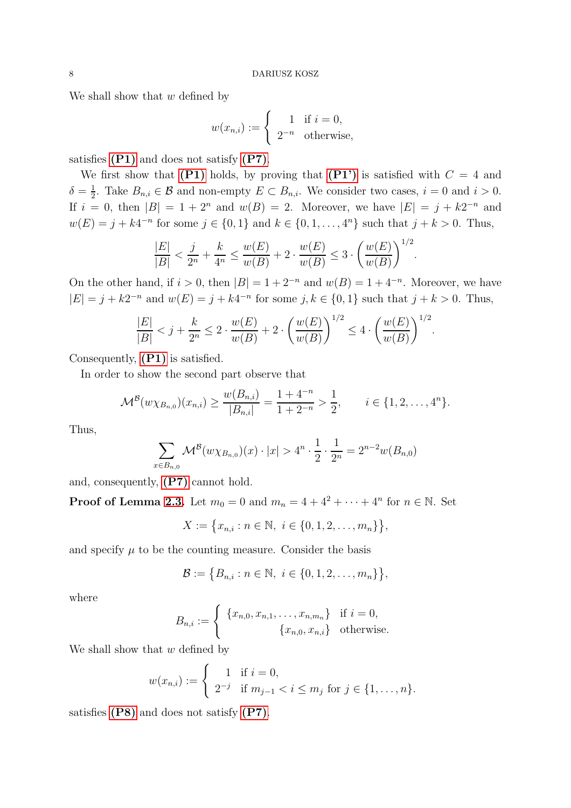We shall show that  $w$  defined by

$$
w(x_{n,i}) := \begin{cases} 1 & \text{if } i = 0, \\ 2^{-n} & \text{otherwise,} \end{cases}
$$

satisfies [\(P1\)](#page-2-0) and does not satisfy [\(P7\)](#page-3-4).

We first show that  $(P1)$  holds, by proving that  $(P1')$  is satisfied with  $C = 4$  and  $\delta = \frac{1}{2}$  $\frac{1}{2}$ . Take  $B_{n,i} \in \mathcal{B}$  and non-empty  $E \subset B_{n,i}$ . We consider two cases,  $i = 0$  and  $i > 0$ . If  $i = 0$ , then  $|B| = 1 + 2^n$  and  $w(B) = 2$ . Moreover, we have  $|E| = j + k2^{-n}$  and  $w(E) = j + k4^{-n}$  for some  $j \in \{0, 1\}$  and  $k \in \{0, 1, ..., 4^n\}$  such that  $j + k > 0$ . Thus,

$$
\frac{|E|}{|B|} < \frac{j}{2^n} + \frac{k}{4^n} \le \frac{w(E)}{w(B)} + 2 \cdot \frac{w(E)}{w(B)} \le 3 \cdot \left(\frac{w(E)}{w(B)}\right)^{1/2}
$$

.

On the other hand, if  $i > 0$ , then  $|B| = 1 + 2^{-n}$  and  $w(B) = 1 + 4^{-n}$ . Moreover, we have  $|E| = j + k2^{-n}$  and  $w(E) = j + k4^{-n}$  for some  $j, k \in \{0, 1\}$  such that  $j + k > 0$ . Thus,

$$
\frac{|E|}{|B|} < j + \frac{k}{2^n} \le 2 \cdot \frac{w(E)}{w(B)} + 2 \cdot \left(\frac{w(E)}{w(B)}\right)^{1/2} \le 4 \cdot \left(\frac{w(E)}{w(B)}\right)^{1/2}.
$$

Consequently, [\(P1\)](#page-2-0) is satisfied.

In order to show the second part observe that

$$
\mathcal{M}^{\mathcal{B}}(w\chi_{B_{n,0}})(x_{n,i}) \ge \frac{w(B_{n,i})}{|B_{n,i}|} = \frac{1+4^{-n}}{1+2^{-n}} > \frac{1}{2}, \qquad i \in \{1,2,\ldots,4^{n}\}.
$$

Thus,

$$
\sum_{x \in B_{n,0}} \mathcal{M}^{\mathcal{B}}(w \chi_{B_{n,0}})(x) \cdot |x| > 4^n \cdot \frac{1}{2} \cdot \frac{1}{2^n} = 2^{n-2}w(B_{n,0})
$$

and, consequently, [\(P7\)](#page-3-4) cannot hold.

**Proof of Lemma [2.3.](#page-4-2)** Let  $m_0 = 0$  and  $m_n = 4 + 4^2 + \cdots + 4^n$  for  $n \in \mathbb{N}$ . Set

$$
X := \{x_{n,i} : n \in \mathbb{N}, i \in \{0, 1, 2, \dots, m_n\}\},\
$$

and specify  $\mu$  to be the counting measure. Consider the basis

$$
\mathcal{B} := \{B_{n,i} : n \in \mathbb{N}, i \in \{0, 1, 2, \dots, m_n\}\},\
$$

where

$$
B_{n,i} := \begin{cases} \{x_{n,0}, x_{n,1}, \dots, x_{n,m_n}\} & \text{if } i = 0, \\ \{x_{n,0}, x_{n,i}\} & \text{otherwise.} \end{cases}
$$

We shall show that  $w$  defined by

$$
w(x_{n,i}) := \begin{cases} 1 & \text{if } i = 0, \\ 2^{-j} & \text{if } m_{j-1} < i \le m_j \text{ for } j \in \{1, ..., n\}. \end{cases}
$$

satisfies [\(P8\)](#page-3-2) and does not satisfy [\(P7\)](#page-3-4).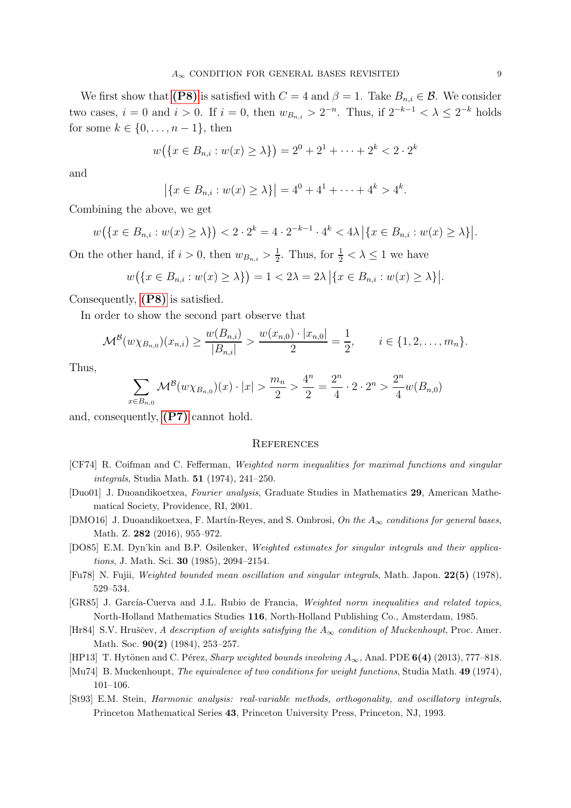We first show that [\(P8\)](#page-3-2) is satisfied with  $C = 4$  and  $\beta = 1$ . Take  $B_{n,i} \in \mathcal{B}$ . We consider two cases,  $i = 0$  and  $i > 0$ . If  $i = 0$ , then  $w_{B_{n,i}} > 2^{-n}$ . Thus, if  $2^{-k-1} < \lambda \leq 2^{-k}$  holds for some  $k \in \{0, \ldots, n-1\}$ , then

$$
w(\lbrace x \in B_{n,i} : w(x) \ge \lambda \rbrace) = 2^0 + 2^1 + \dots + 2^k < 2 \cdot 2^k
$$

and

$$
|\{x \in B_{n,i} : w(x) \ge \lambda\}| = 4^0 + 4^1 + \cdots + 4^k > 4^k.
$$

Combining the above, we get

$$
w(\lbrace x \in B_{n,i} : w(x) \ge \lambda \rbrace) < 2 \cdot 2^{k} = 4 \cdot 2^{-k-1} \cdot 4^{k} < 4\lambda \left| \lbrace x \in B_{n,i} : w(x) \ge \lambda \rbrace \right|.
$$

On the other hand, if  $i > 0$ , then  $w_{B_{n,i}} > \frac{1}{2}$  $\frac{1}{2}$ . Thus, for  $\frac{1}{2} < \lambda \leq 1$  we have

$$
w(\lbrace x \in B_{n,i} : w(x) \ge \lambda \rbrace) = 1 < 2\lambda = 2\lambda \left| \lbrace x \in B_{n,i} : w(x) \ge \lambda \rbrace \right|.
$$

Consequently, [\(P8\)](#page-3-2) is satisfied.

In order to show the second part observe that

$$
\mathcal{M}^{\mathcal{B}}(w\chi_{B_{n,0}})(x_{n,i}) \ge \frac{w(B_{n,i})}{|B_{n,i}|} > \frac{w(x_{n,0}) \cdot |x_{n,0}|}{2} = \frac{1}{2}, \qquad i \in \{1, 2, \dots, m_n\}.
$$

Thus,

$$
\sum_{x \in B_{n,0}} \mathcal{M}^{\mathcal{B}}(w \chi_{B_{n,0}})(x) \cdot |x| > \frac{m_n}{2} > \frac{4^n}{2} = \frac{2^n}{4} \cdot 2 \cdot 2^n > \frac{2^n}{4} w(B_{n,0})
$$

and, consequently, [\(P7\)](#page-3-4) cannot hold.

#### **REFERENCES**

- <span id="page-8-1"></span>[CF74] R. Coifman and C. Fefferman, Weighted norm inequalities for maximal functions and singular integrals, Studia Math. 51 (1974), 241–250.
- <span id="page-8-7"></span>[Duo01] J. Duoandikoetxea, Fourier analysis, Graduate Studies in Mathematics 29, American Mathematical Society, Providence, RI, 2001.
- <span id="page-8-9"></span>[DMO16] J. Duoandikoetxea, F. Martín-Reyes, and S. Ombrosi, On the  $A_{\infty}$  conditions for general bases, Math. Z. 282 (2016), 955–972.
- <span id="page-8-5"></span>[DO85] E.M. Dyn'kin and B.P. Osilenker, Weighted estimates for singular integrals and their applications, J. Math. Sci. **30** (1985), 2094-2154.
- <span id="page-8-2"></span>[Fu78] N. Fujii, Weighted bounded mean oscillation and singular integrals, Math. Japon. 22(5) (1978), 529–534.
- <span id="page-8-4"></span>[GR85] J. García-Cuerva and J.L. Rubio de Francia, Weighted norm inequalities and related topics, North-Holland Mathematics Studies 116, North-Holland Publishing Co., Amsterdam, 1985.
- <span id="page-8-3"></span>[Hr84] S.V. Hruščev, A description of weights satisfying the  $A_{\infty}$  condition of Muckenhoupt, Proc. Amer. Math. Soc. 90(2) (1984), 253-257.
- <span id="page-8-8"></span>[HP13] T. Hytönen and C. Pérez, Sharp weighted bounds involving  $A_{\infty}$ , Anal. PDE 6(4) (2013), 777–818.
- <span id="page-8-0"></span>[Mu74] B. Muckenhoupt, The equivalence of two conditions for weight functions, Studia Math. 49 (1974), 101–106.
- <span id="page-8-6"></span>[St93] E.M. Stein, Harmonic analysis: real-variable methods, orthogonality, and oscillatory integrals, Princeton Mathematical Series 43, Princeton University Press, Princeton, NJ, 1993.